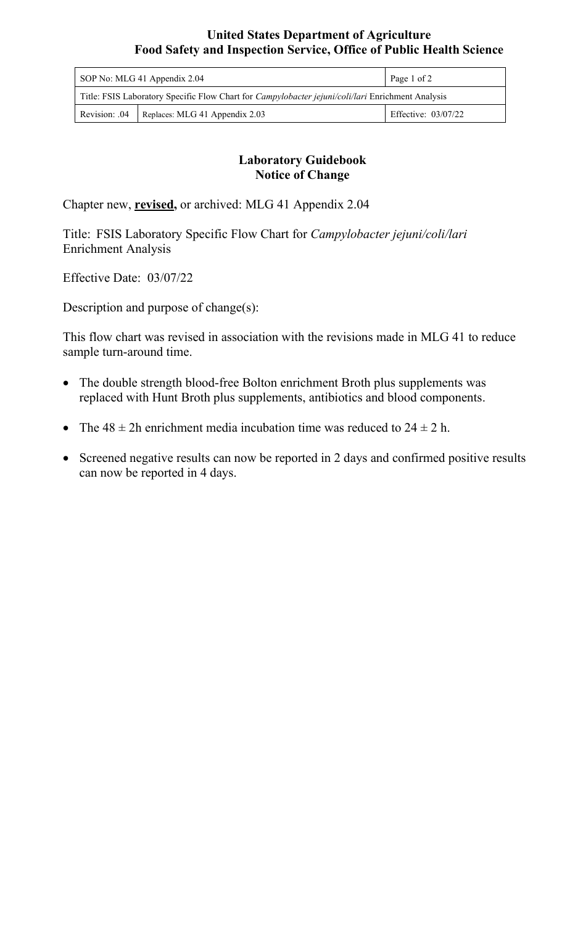## **United States Department of Agriculture Food Safety and Inspection Service, Office of Public Health Science**

| SOP No: MLG 41 Appendix 2.04                                                                             |                                | Page 1 of 2         |
|----------------------------------------------------------------------------------------------------------|--------------------------------|---------------------|
| Title: FSIS Laboratory Specific Flow Chart for <i>Campylobacter jejuni/coli/lari</i> Enrichment Analysis |                                |                     |
| Revision: .04                                                                                            | Replaces: MLG 41 Appendix 2.03 | Effective: 03/07/22 |

## **Laboratory Guidebook Notice of Change**

Chapter new, **revised,** or archived: MLG 41 Appendix 2.04

Title: FSIS Laboratory Specific Flow Chart for *Campylobacter jejuni/coli/lari*  Enrichment Analysis

Effective Date: 03/07/22

Description and purpose of change(s):

This flow chart was revised in association with the revisions made in MLG 41 to reduce sample turn-around time.

- The double strength blood-free Bolton enrichment Broth plus supplements was replaced with Hunt Broth plus supplements, antibiotics and blood components.
- The  $48 \pm 2h$  enrichment media incubation time was reduced to  $24 \pm 2h$ .
- Screened negative results can now be reported in 2 days and confirmed positive results can now be reported in 4 days.